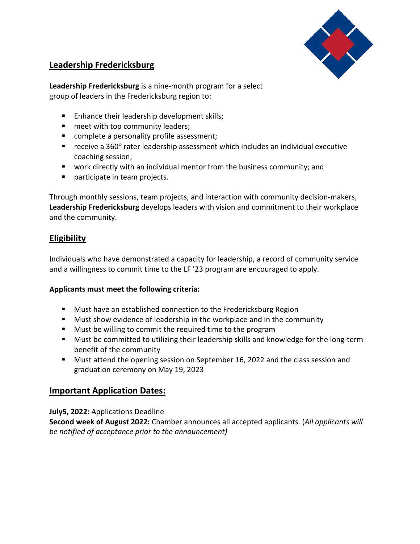

# **Leadership Fredericksburg**

**Leadership Fredericksburg** is a nine-month program for a select group of leaders in the Fredericksburg region to:

- **Enhance their leadership development skills;**
- **n** meet with top community leaders;
- complete a personality profile assessment;
- receive a  $360^\circ$  rater leadership assessment which includes an individual executive coaching session;
- work directly with an individual mentor from the business community; and
- participate in team projects.

Through monthly sessions, team projects, and interaction with community decision-makers, **Leadership Fredericksburg** develops leaders with vision and commitment to their workplace and the community.

## **Eligibility**

Individuals who have demonstrated a capacity for leadership, a record of community service and a willingness to commit time to the LF '23 program are encouraged to apply.

### **Applicants must meet the following criteria:**

- **Must have an established connection to the Fredericksburg Region**
- Must show evidence of leadership in the workplace and in the community
- **Must be willing to commit the required time to the program**
- **Must be committed to utilizing their leadership skills and knowledge for the long-term** benefit of the community
- **Must attend the opening session on September 16, 2022 and the class session and** graduation ceremony on May 19, 2023

## **Important Application Dates:**

**July5, 2022:** Applications Deadline

**Second week of August 2022:** Chamber announces all accepted applicants. (*All applicants will be notified of acceptance prior to the announcement)*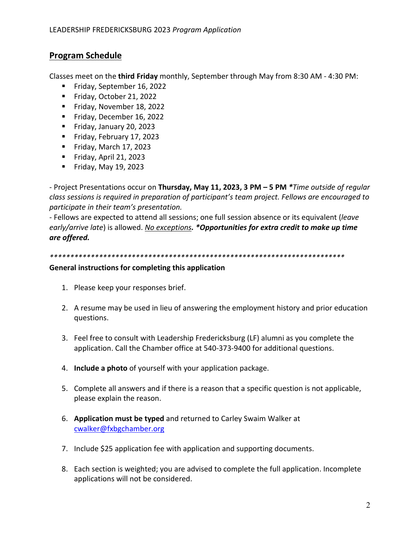# **Program Schedule**

Classes meet on the **third Friday** monthly, September through May from 8:30 AM - 4:30 PM:

- Friday, September 16, 2022
- Friday, October 21, 2022
- Friday, November 18, 2022
- Friday, December 16, 2022
- Friday, January 20, 2023
- Friday, February 17, 2023
- Friday, March  $17, 2023$
- Friday, April 21, 2023
- Friday, May 19, 2023

- Project Presentations occur on **Thursday, May 11, 2023, 3 PM – 5 PM** *\*Time outside of regular class sessions is required in preparation of participant's team project. Fellows are encouraged to participate in their team's presentation.*

- Fellows are expected to attend all sessions; one full session absence or its equivalent (*leave early/arrive late*) is allowed. *No exceptions. \*Opportunities for extra credit to make up time are offered.*

*\*\*\*\*\*\*\*\*\*\*\*\*\*\*\*\*\*\*\*\*\*\*\*\*\*\*\*\*\*\*\*\*\*\*\*\*\*\*\*\*\*\*\*\*\*\*\*\*\*\*\*\*\*\*\*\*\*\*\*\*\*\*\*\*\*\*\*\*\*\*\*\**

#### **General instructions for completing this application**

- 1. Please keep your responses brief.
- 2. A resume may be used in lieu of answering the employment history and prior education questions.
- 3. Feel free to consult with Leadership Fredericksburg (LF) alumni as you complete the application. Call the Chamber office at 540-373-9400 for additional questions.
- 4. **Include a photo** of yourself with your application package.
- 5. Complete all answers and if there is a reason that a specific question is not applicable, please explain the reason.
- 6. **Application must be typed** and returned to Carley Swaim Walker at [cwalker@fxbgchamber.org](mailto:cwalker@fxbgchamber.org)
- 7. Include \$25 application fee with application and supporting documents.
- 8. Each section is weighted; you are advised to complete the full application. Incomplete applications will not be considered.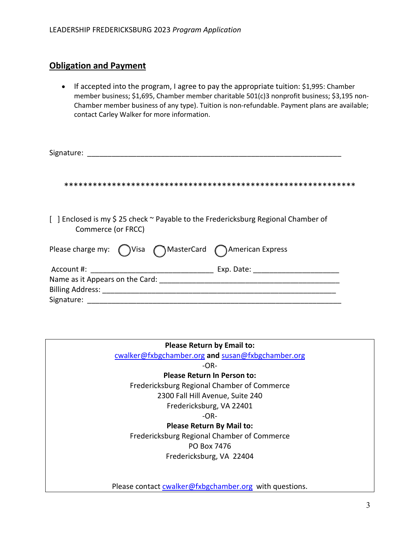# **Obligation and Payment**

• If accepted into the program, I agree to pay the appropriate tuition: \$1,995: Chamber member business; \$1,695, Chamber member charitable 501(c)3 nonprofit business; \$3,195 non-Chamber member business of any type). Tuition is non-refundable. Payment plans are available; contact Carley Walker for more information.

| Signature:                                                                                               |            |
|----------------------------------------------------------------------------------------------------------|------------|
|                                                                                                          |            |
| [ ] Enclosed is my \$ 25 check ~ Payable to the Fredericksburg Regional Chamber of<br>Commerce (or FRCC) |            |
| Please charge my: $\bigcap$ Visa $\bigcap$ MasterCard $\bigcap$ American Express                         |            |
|                                                                                                          | Exp. Date: |
|                                                                                                          |            |
|                                                                                                          |            |
| Signature:                                                                                               |            |

| <b>Please Return by Email to:</b>                      |
|--------------------------------------------------------|
| cwalker@fxbgchamber.org and susan@fxbgchamber.org      |
| -OR-                                                   |
| <b>Please Return In Person to:</b>                     |
| Fredericksburg Regional Chamber of Commerce            |
| 2300 Fall Hill Avenue, Suite 240                       |
| Fredericksburg, VA 22401                               |
| -OR-                                                   |
| <b>Please Return By Mail to:</b>                       |
| Fredericksburg Regional Chamber of Commerce            |
| PO Box 7476                                            |
| Fredericksburg, VA 22404                               |
|                                                        |
|                                                        |
| Please contact cwalker@fxbgchamber.org with questions. |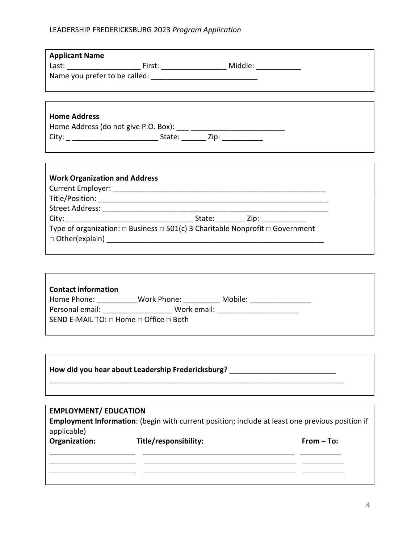## LEADERSHIP FREDERICKSBURG 2023 *Program Application*

| <b>Applicant Name</b>                |                                                                                              |  |
|--------------------------------------|----------------------------------------------------------------------------------------------|--|
|                                      |                                                                                              |  |
|                                      |                                                                                              |  |
|                                      |                                                                                              |  |
| <b>Home Address</b>                  |                                                                                              |  |
|                                      |                                                                                              |  |
|                                      |                                                                                              |  |
|                                      |                                                                                              |  |
|                                      |                                                                                              |  |
|                                      |                                                                                              |  |
| <b>Work Organization and Address</b> |                                                                                              |  |
|                                      |                                                                                              |  |
|                                      |                                                                                              |  |
|                                      |                                                                                              |  |
|                                      | Type of organization: $\Box$ Business $\Box$ 501(c) 3 Charitable Nonprofit $\Box$ Government |  |
|                                      |                                                                                              |  |
|                                      |                                                                                              |  |
|                                      |                                                                                              |  |
|                                      |                                                                                              |  |

| <b>Contact information</b>                            |             |         |  |
|-------------------------------------------------------|-------------|---------|--|
| Home Phone:                                           | Work Phone: | Mobile: |  |
| Personal email:                                       | Work email: |         |  |
| SEND E-MAIL TO: $\Box$ Home $\Box$ Office $\Box$ Both |             |         |  |
|                                                       |             |         |  |

| How did you hear about Leadership Fredericksburg? |  |
|---------------------------------------------------|--|
|                                                   |  |

## **EMPLOYMENT/ EDUCATION**

**Employment Information**: (begin with current position; include at least one previous position if applicable)

| Organization: | Title/responsibility: | From $-$ To: |
|---------------|-----------------------|--------------|
|               |                       |              |
|               |                       |              |

 $\overline{\mathbf{I}}$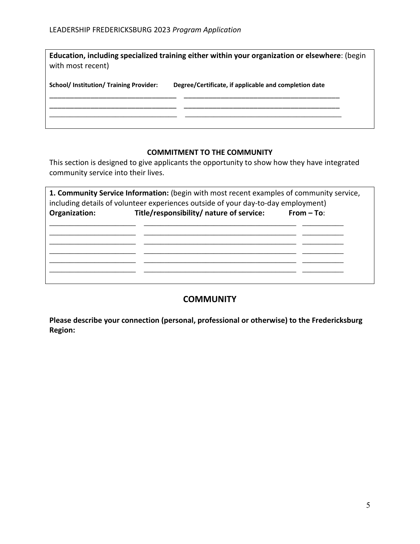| with most recent)                            | Education, including specialized training either within your organization or elsewhere: (begin |
|----------------------------------------------|------------------------------------------------------------------------------------------------|
| <b>School/Institution/Training Provider:</b> | Degree/Certificate, if applicable and completion date                                          |

### **COMMITMENT TO THE COMMUNITY**

This section is designed to give applicants the opportunity to show how they have integrated community service into their lives.

| 1. Community Service Information: (begin with most recent examples of community service,<br>including details of volunteer experiences outside of your day-to-day employment) |                                          |              |  |
|-------------------------------------------------------------------------------------------------------------------------------------------------------------------------------|------------------------------------------|--------------|--|
| Organization:                                                                                                                                                                 | Title/responsibility/ nature of service: | $From - To:$ |  |
|                                                                                                                                                                               |                                          |              |  |
|                                                                                                                                                                               |                                          |              |  |
|                                                                                                                                                                               |                                          |              |  |
|                                                                                                                                                                               |                                          |              |  |
|                                                                                                                                                                               |                                          |              |  |

## **COMMUNITY**

**Please describe your connection (personal, professional or otherwise) to the Fredericksburg Region:**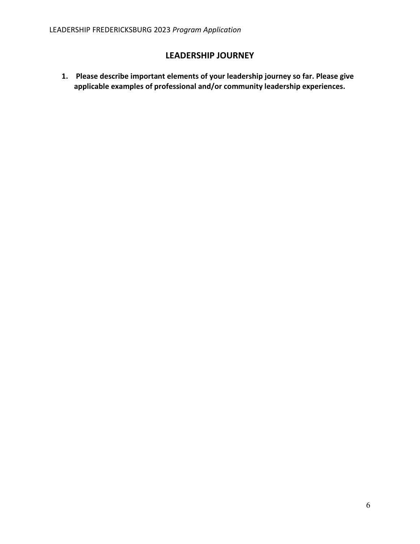# **LEADERSHIP JOURNEY**

**1. Please describe important elements of your leadership journey so far. Please give applicable examples of professional and/or community leadership experiences.**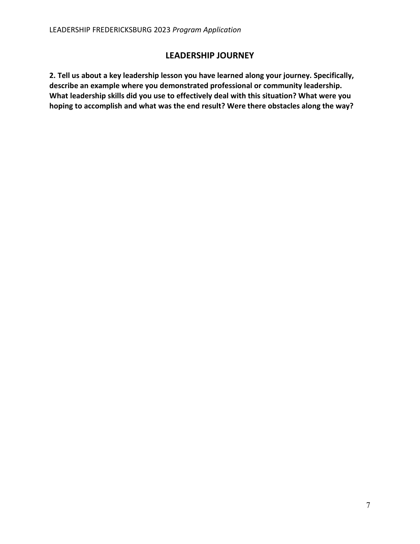## **LEADERSHIP JOURNEY**

**2. Tell us about a key leadership lesson you have learned along your journey. Specifically, describe an example where you demonstrated professional or community leadership. What leadership skills did you use to effectively deal with this situation? What were you hoping to accomplish and what was the end result? Were there obstacles along the way?**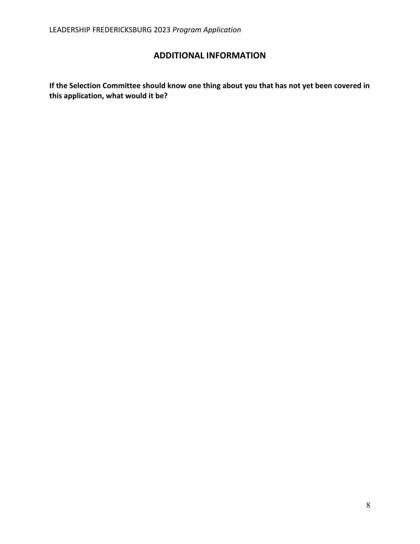# **ADDITIONAL INFORMATION**

**If the Selection Committee should know one thing about you that has not yet been covered in this application, what would it be?**